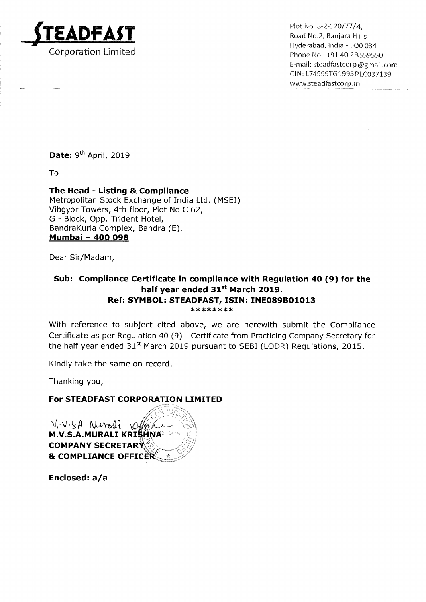

Hyderabad, lndia — 500 034 Email: steadfastcorp@gmail.com Cl N: L74999TG 1995 P LCO37139 www.5teadfastcorp.in

Date: 9<sup>th</sup> April, 2019

To

The Head - Listing & Compliance Metropolitan Stock Exchange of India Ltd. (MSEI) Vibgyor Towers, 4th floor, Plot No <sup>C</sup> 62, G - Block, Opp. Trident Hotel, BandraKurla Complex, Bandra (E), panurakuna comple<br><mark>Mumbai - 400 098</mark>

Dear Sir/Madam,

## Sub:- Compliance Certificate in compliance with Regulation 40 (9) for the half year ended 31<sup>st</sup> March 2019. Ref: SYMBOL: STEADFAST, ISIN: INE089B01013 \*\*\*\*\*\*\*\*

With reference to subject cited above, we are herewith submit the Compliance Certificate as per Regulation 40 (9) - Certificate from Practicing Company Secretary for the half year ended  $31<sup>st</sup>$  March 2019 pursuant to SEBI (LODR) Regulations, 2015.

Kindly take the same on record.

Thanking you,

## For STEADFAST CORPORATION LIMITED

 $Mvsh$  reports **M.V.S.A.MURALI KRISHNARRABA COMPANY SECRETARY** & COMPLIANCE OFFICER

Enclosed: a/a